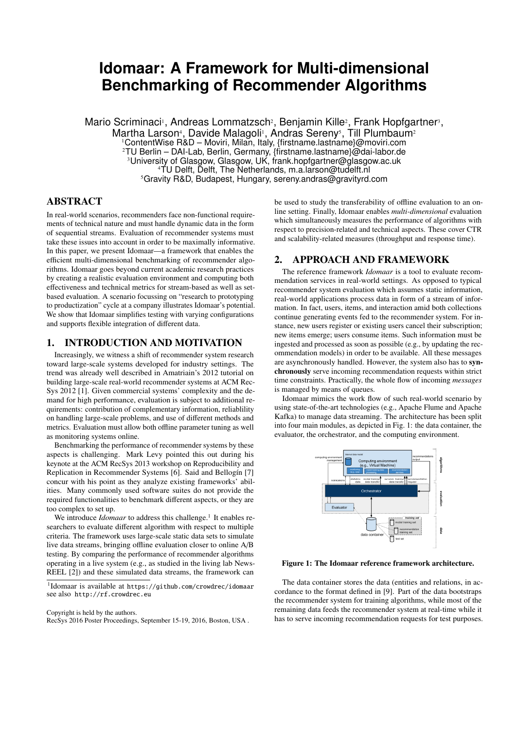# **Idomaar: A Framework for Multi-dimensional Benchmarking of Recommender Algorithms**

Mario Scriminaci<sup>i</sup>, Andreas Lommatzsch<sup>2</sup>, Benjamin Kille<sup>2</sup>, Frank Hopfgartner<sup>3</sup>, Martha Larson<sup>4</sup>, Davide Malagoli<sup>1</sup>, Andras Sereny<sup>5</sup>, Till Plumbaum<sup>2</sup> ContentWise R&D – Moviri, Milan, Italy, {firstname.lastname}@moviri.com TU Berlin – DAI-Lab, Berlin, Germany, {firstname.lastname}@dai-labor.de University of Glasgow, Glasgow, UK, frank.hopfgartner@glasgow.ac.uk TU Delft, Delft, The Netherlands, m.a.larson@tudelft.nl Gravity R&D, Budapest, Hungary, sereny.andras@gravityrd.com

#### ABSTRACT

In real-world scenarios, recommenders face non-functional requirements of technical nature and must handle dynamic data in the form of sequential streams. Evaluation of recommender systems must take these issues into account in order to be maximally informative. In this paper, we present Idomaar—a framework that enables the efficient multi-dimensional benchmarking of recommender algorithms. Idomaar goes beyond current academic research practices by creating a realistic evaluation environment and computing both effectiveness and technical metrics for stream-based as well as setbased evaluation. A scenario focussing on "research to prototyping to productization" cycle at a company illustrates Idomaar's potential. We show that Idomaar simplifies testing with varying configurations and supports flexible integration of different data.

#### 1. INTRODUCTION AND MOTIVATION

Increasingly, we witness a shift of recommender system research toward large-scale systems developed for industry settings. The trend was already well described in Amatriain's 2012 tutorial on building large-scale real-world recommender systems at ACM Rec-Sys 2012 [1]. Given commercial systems' complexity and the demand for high performance, evaluation is subject to additional requirements: contribution of complementary information, reliablility on handling large-scale problems, and use of different methods and metrics. Evaluation must allow both offline parameter tuning as well as monitoring systems online.

Benchmarking the performance of recommender systems by these aspects is challenging. Mark Levy pointed this out during his keynote at the ACM RecSys 2013 workshop on Reproducibility and Replication in Recommender Systems [6]. Said and Bellogín [7] concur with his point as they analyze existing frameworks' abilities. Many commonly used software suites do not provide the required functionalities to benchmark different aspects, or they are too complex to set up.

We introduce *Idomaar* to address this challenge.<sup>1</sup> It enables researchers to evaluate different algorithm with respect to multiple criteria. The framework uses large-scale static data sets to simulate live data streams, bringing offline evaluation closer to online A/B testing. By comparing the performance of recommender algorithms operating in a live system (e.g., as studied in the living lab News-REEL [2]) and these simulated data streams, the framework can

Copyright is held by the authors.

RecSys 2016 Poster Proceedings, September 15-19, 2016, Boston, USA .

be used to study the transferability of offline evaluation to an online setting. Finally, Idomaar enables *multi-dimensional* evaluation which simultaneously measures the performance of algorithms with respect to precision-related and technical aspects. These cover CTR and scalability-related measures (throughput and response time).

# 2. APPROACH AND FRAMEWORK

The reference framework *Idomaar* is a tool to evaluate recommendation services in real-world settings. As opposed to typical recommender system evaluation which assumes static information, real-world applications process data in form of a stream of information. In fact, users, items, and interaction amid both collections continue generating events fed to the recommender system. For instance, new users register or existing users cancel their subscription; new items emerge; users consume items. Such information must be ingested and processed as soon as possible (e.g., by updating the recommendation models) in order to be available. All these messages are asynchronously handled. However, the system also has to synchronously serve incoming recommendation requests within strict time constraints. Practically, the whole flow of incoming *messages* is managed by means of queues.

Idomaar mimics the work flow of such real-world scenario by using state-of-the-art technologies (e.g., Apache Flume and Apache Kafka) to manage data streaming. The architecture has been split into four main modules, as depicted in Fig. 1: the data container, the evaluator, the orchestrator, and the computing environment.



Figure 1: The Idomaar reference framework architecture.

The data container stores the data (entities and relations, in accordance to the format defined in [9]. Part of the data bootstraps the recommender system for training algorithms, while most of the remaining data feeds the recommender system at real-time while it has to serve incoming recommendation requests for test purposes.

<sup>1</sup> Idomaar is available at https://github.com/crowdrec/idomaar see also http://rf.crowdrec.eu